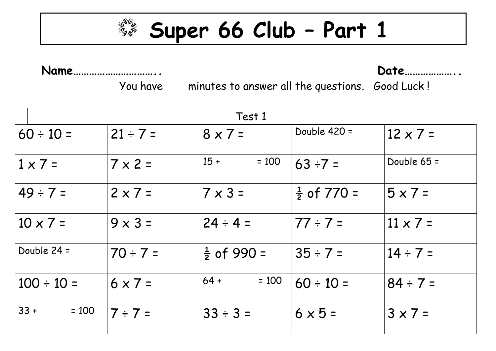

**Super 66 Club – Part 1**

**Name………………………….. Date………………..**

You have minutes to answer all the questions. Good Luck !

|         | Test 1          |                |                        |                        |                 |  |
|---------|-----------------|----------------|------------------------|------------------------|-----------------|--|
|         | $60 \div 10 =$  | $21 \div 7 =$  | $8 \times 7 =$         | Double $420 =$         | $12 \times 7 =$ |  |
|         | $1 \times 7 =$  | $7 \times 2 =$ | $15 +$<br>$= 100$      | $63 ÷ 7 =$             | Double $65 =$   |  |
|         | $ 49 \div 7 =$  | $2 \times 7 =$ | $7 \times 3 =$         | $\frac{1}{2}$ of 770 = | $5 \times 7 =$  |  |
|         | $10 \times 7 =$ | $9 \times 3 =$ | $24 \div 4 =$          | $77 \div 7 =$          | $11 \times 7 =$ |  |
|         | Double 24 =     | $70 \div 7 =$  | $\frac{1}{2}$ of 990 = | $35 \div 7 =$          | $14 \div 7 =$   |  |
|         | $100 \div 10 =$ | $6 \times 7 =$ | $64 +$<br>$= 100$      | $60 \div 10 =$         | $84 \div 7 =$   |  |
| $ 33 +$ | $= 100$         | $ 7 \div 7 =$  | $33 \div 3 =$          | $6 \times 5 =$         | $3 \times 7 =$  |  |